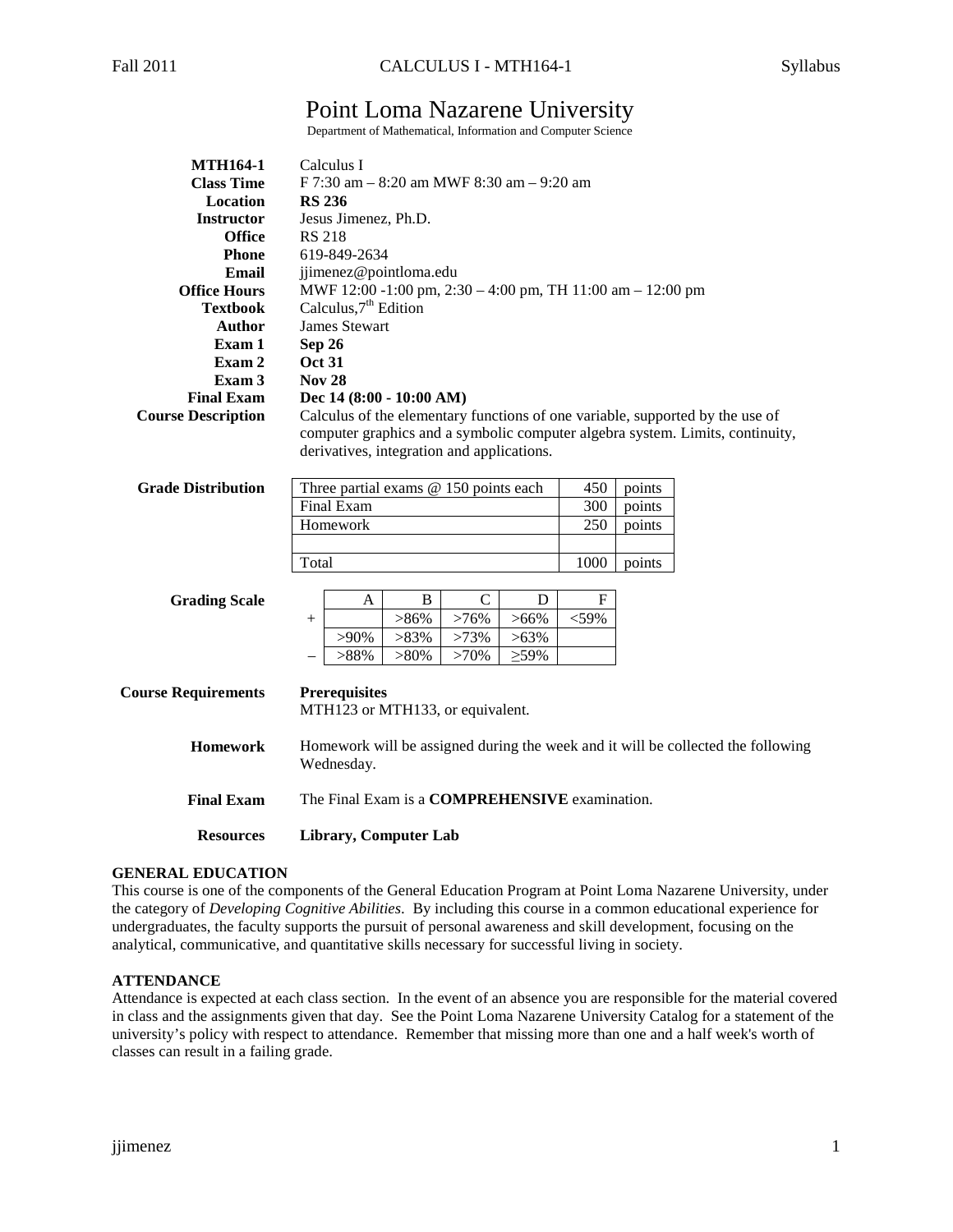# Point Loma Nazarene University

Department of Mathematical, Information and Computer Science

| <b>MTH164-1</b>                                                                   | Calculus I                                                                                                                                                                                                   |  |  |  |
|-----------------------------------------------------------------------------------|--------------------------------------------------------------------------------------------------------------------------------------------------------------------------------------------------------------|--|--|--|
| <b>Class Time</b>                                                                 | F 7:30 am - 8:20 am MWF 8:30 am - 9:20 am                                                                                                                                                                    |  |  |  |
| Location                                                                          | <b>RS 236</b>                                                                                                                                                                                                |  |  |  |
| <b>Instructor</b><br>Jesus Jimenez, Ph.D.                                         |                                                                                                                                                                                                              |  |  |  |
| <b>RS 218</b><br><b>Office</b>                                                    |                                                                                                                                                                                                              |  |  |  |
| <b>Phone</b>                                                                      | 619-849-2634                                                                                                                                                                                                 |  |  |  |
| Email                                                                             | jimenez@pointloma.edu                                                                                                                                                                                        |  |  |  |
| MWF 12:00 -1:00 pm, 2:30 – 4:00 pm, TH 11:00 am – 12:00 pm<br><b>Office Hours</b> |                                                                                                                                                                                                              |  |  |  |
| <b>Textbook</b>                                                                   | Calculus, $7th$ Edition                                                                                                                                                                                      |  |  |  |
| <b>Author</b>                                                                     | <b>James Stewart</b>                                                                                                                                                                                         |  |  |  |
| Exam 1                                                                            | Sep 26                                                                                                                                                                                                       |  |  |  |
| Exam 2                                                                            | <b>Oct 31</b>                                                                                                                                                                                                |  |  |  |
| Exam 3                                                                            | <b>Nov 28</b>                                                                                                                                                                                                |  |  |  |
| <b>Final Exam</b>                                                                 | Dec $14(8:00 - 10:00 AM)$                                                                                                                                                                                    |  |  |  |
| <b>Course Description</b>                                                         | Calculus of the elementary functions of one variable, supported by the use of<br>computer graphics and a symbolic computer algebra system. Limits, continuity,<br>derivatives, integration and applications. |  |  |  |

| <b>Grade Distribution</b> | Three partial exams $@$ 150 points each | 450  | points |
|---------------------------|-----------------------------------------|------|--------|
|                           | Final Exam                              | 300  | points |
|                           | <b>Homework</b>                         | 250  | points |
|                           |                                         |      |        |
|                           | Total                                   | 1000 | points |

## **Grading Scale**

|      |         | B       |         | D       |      |
|------|---------|---------|---------|---------|------|
| $^+$ |         | $>86\%$ | $>76\%$ | $>66\%$ | <59% |
|      | >90%    | $>83\%$ | $>73\%$ | $>63\%$ |      |
|      | $>88\%$ | $>80\%$ | $>70\%$ | $>59\%$ |      |

| <b>Course Requirements</b> | <b>Prerequisites</b><br>MTH123 or MTH133, or equivalent.                                       |
|----------------------------|------------------------------------------------------------------------------------------------|
| <b>Homework</b>            | Homework will be assigned during the week and it will be collected the following<br>Wednesday. |
| <b>Final Exam</b>          | The Final Exam is a <b>COMPREHENSIVE</b> examination.                                          |
| <b>Resources</b>           | Library, Computer Lab                                                                          |

## **GENERAL EDUCATION**

This course is one of the components of the General Education Program at Point Loma Nazarene University, under the category of *Developing Cognitive Abilities*. By including this course in a common educational experience for undergraduates, the faculty supports the pursuit of personal awareness and skill development, focusing on the analytical, communicative, and quantitative skills necessary for successful living in society.

## **ATTENDANCE**

Attendance is expected at each class section. In the event of an absence you are responsible for the material covered in class and the assignments given that day. See the Point Loma Nazarene University Catalog for a statement of the university's policy with respect to attendance. Remember that missing more than one and a half week's worth of classes can result in a failing grade.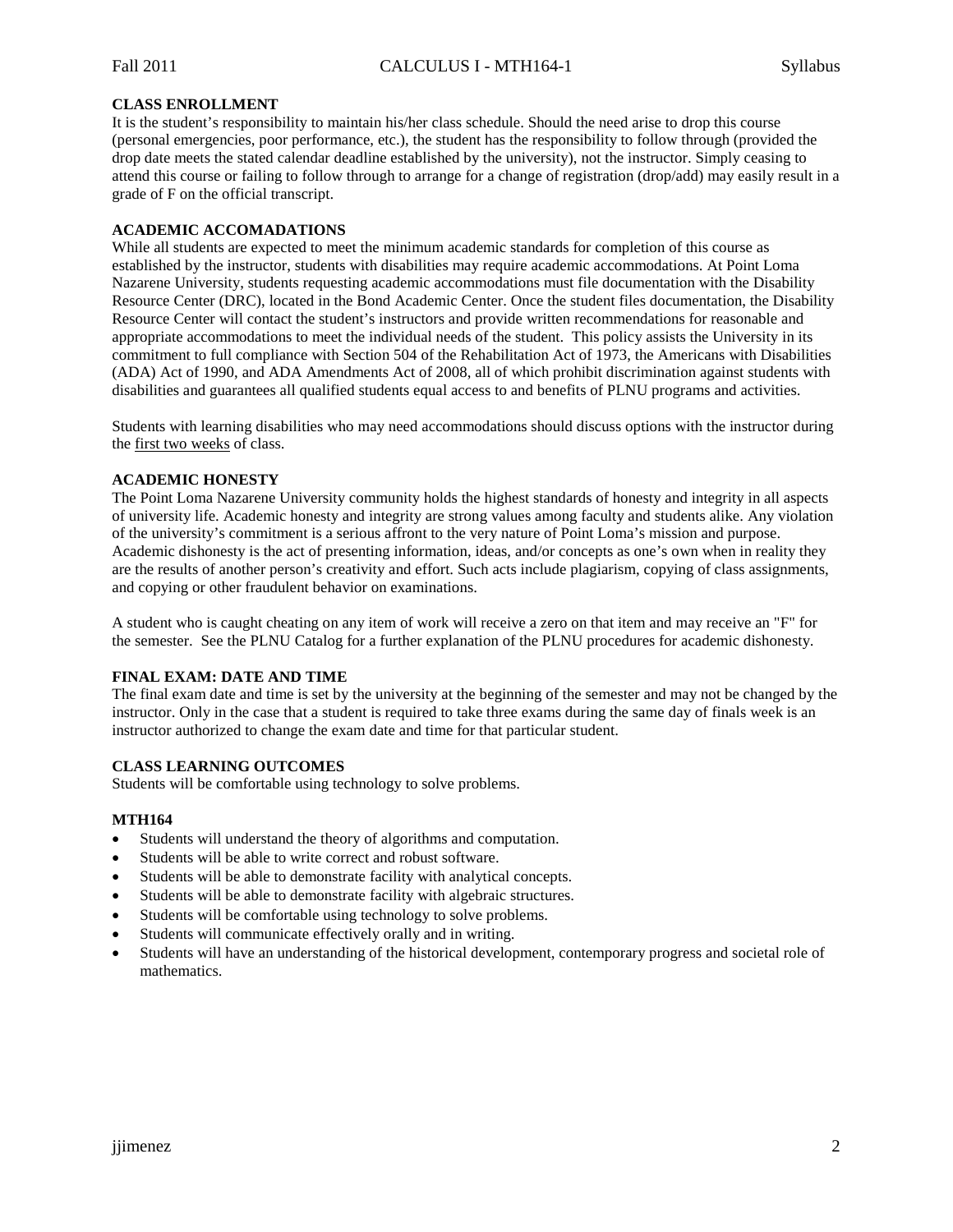### **CLASS ENROLLMENT**

It is the student's responsibility to maintain his/her class schedule. Should the need arise to drop this course (personal emergencies, poor performance, etc.), the student has the responsibility to follow through (provided the drop date meets the stated calendar deadline established by the university), not the instructor. Simply ceasing to attend this course or failing to follow through to arrange for a change of registration (drop/add) may easily result in a grade of F on the official transcript.

#### **ACADEMIC ACCOMADATIONS**

While all students are expected to meet the minimum academic standards for completion of this course as established by the instructor, students with disabilities may require academic accommodations. At Point Loma Nazarene University, students requesting academic accommodations must file documentation with the Disability Resource Center (DRC), located in the Bond Academic Center. Once the student files documentation, the Disability Resource Center will contact the student's instructors and provide written recommendations for reasonable and appropriate accommodations to meet the individual needs of the student. This policy assists the University in its commitment to full compliance with Section 504 of the Rehabilitation Act of 1973, the Americans with Disabilities (ADA) Act of 1990, and ADA Amendments Act of 2008, all of which prohibit discrimination against students with disabilities and guarantees all qualified students equal access to and benefits of PLNU programs and activities.

Students with learning disabilities who may need accommodations should discuss options with the instructor during the first two weeks of class.

## **ACADEMIC HONESTY**

The Point Loma Nazarene University community holds the highest standards of honesty and integrity in all aspects of university life. Academic honesty and integrity are strong values among faculty and students alike. Any violation of the university's commitment is a serious affront to the very nature of Point Loma's mission and purpose. Academic dishonesty is the act of presenting information, ideas, and/or concepts as one's own when in reality they are the results of another person's creativity and effort. Such acts include plagiarism, copying of class assignments, and copying or other fraudulent behavior on examinations.

A student who is caught cheating on any item of work will receive a zero on that item and may receive an "F" for the semester. See the PLNU Catalog for a further explanation of the PLNU procedures for academic dishonesty.

#### **FINAL EXAM: DATE AND TIME**

The final exam date and time is set by the university at the beginning of the semester and may not be changed by the instructor. Only in the case that a student is required to take three exams during the same day of finals week is an instructor authorized to change the exam date and time for that particular student.

#### **CLASS LEARNING OUTCOMES**

Students will be comfortable using technology to solve problems.

#### **MTH164**

- Students will understand the theory of algorithms and computation.
- Students will be able to write correct and robust software.
- Students will be able to demonstrate facility with analytical concepts.
- Students will be able to demonstrate facility with algebraic structures.
- Students will be comfortable using technology to solve problems.
- Students will communicate effectively orally and in writing.
- Students will have an understanding of the historical development, contemporary progress and societal role of mathematics.